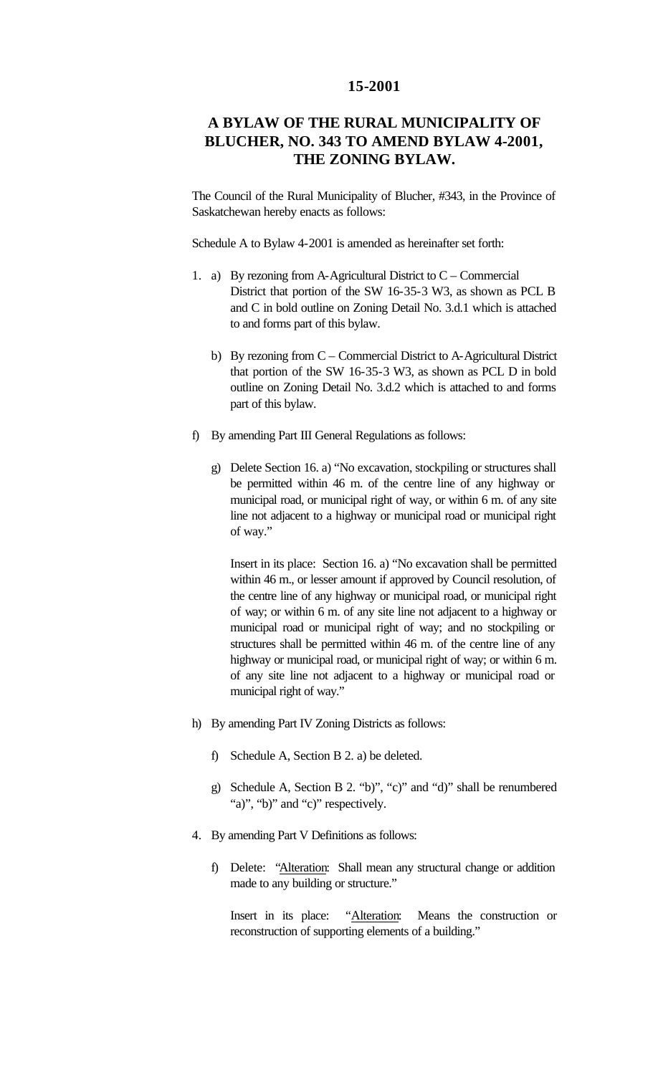## **15-2001**

## **A BYLAW OF THE RURAL MUNICIPALITY OF BLUCHER, NO. 343 TO AMEND BYLAW 4-2001, THE ZONING BYLAW.**

The Council of the Rural Municipality of Blucher, #343, in the Province of Saskatchewan hereby enacts as follows:

Schedule A to Bylaw 4-2001 is amended as hereinafter set forth:

- 1. a) By rezoning from A-Agricultural District to  $C -$  Commercial District that portion of the SW 16-35-3 W3, as shown as PCL B and C in bold outline on Zoning Detail No. 3.d.1 which is attached to and forms part of this bylaw.
	- b) By rezoning from C Commercial District to A-Agricultural District that portion of the SW 16-35-3 W3, as shown as PCL D in bold outline on Zoning Detail No. 3.d.2 which is attached to and forms part of this bylaw.
- f) By amending Part III General Regulations as follows:
	- g) Delete Section 16. a) "No excavation, stockpiling or structures shall be permitted within 46 m. of the centre line of any highway or municipal road, or municipal right of way, or within 6 m. of any site line not adjacent to a highway or municipal road or municipal right of way."

Insert in its place: Section 16. a) "No excavation shall be permitted within 46 m., or lesser amount if approved by Council resolution, of the centre line of any highway or municipal road, or municipal right of way; or within 6 m. of any site line not adjacent to a highway or municipal road or municipal right of way; and no stockpiling or structures shall be permitted within 46 m. of the centre line of any highway or municipal road, or municipal right of way; or within 6 m. of any site line not adjacent to a highway or municipal road or municipal right of way."

- h) By amending Part IV Zoning Districts as follows:
	- f) Schedule A, Section B 2. a) be deleted.
	- g) Schedule A, Section B 2. "b)", "c)" and "d)" shall be renumbered "a)", "b)" and "c)" respectively.
- 4. By amending Part V Definitions as follows:
	- f) Delete: "Alteration: Shall mean any structural change or addition made to any building or structure."

Insert in its place: "Alteration: Means the construction or reconstruction of supporting elements of a building."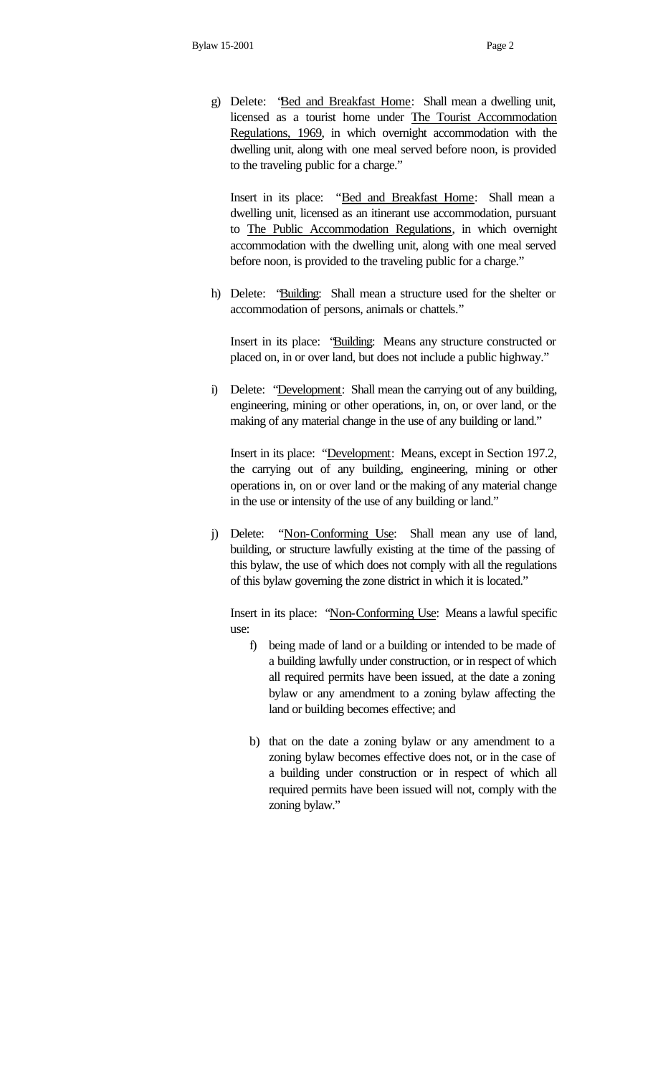g) Delete: "Bed and Breakfast Home: Shall mean a dwelling unit, licensed as a tourist home under The Tourist Accommodation Regulations, 1969, in which overnight accommodation with the dwelling unit, along with one meal served before noon, is provided to the traveling public for a charge."

Insert in its place: "Bed and Breakfast Home: Shall mean a dwelling unit, licensed as an itinerant use accommodation, pursuant to The Public Accommodation Regulations, in which overnight accommodation with the dwelling unit, along with one meal served before noon, is provided to the traveling public for a charge."

h) Delete: "Building: Shall mean a structure used for the shelter or accommodation of persons, animals or chattels."

Insert in its place: "Building: Means any structure constructed or placed on, in or over land, but does not include a public highway."

i) Delete: "Development: Shall mean the carrying out of any building, engineering, mining or other operations, in, on, or over land, or the making of any material change in the use of any building or land."

Insert in its place: "Development: Means, except in Section 197.2, the carrying out of any building, engineering, mining or other operations in, on or over land or the making of any material change in the use or intensity of the use of any building or land."

j) Delete: "Non-Conforming Use: Shall mean any use of land, building, or structure lawfully existing at the time of the passing of this bylaw, the use of which does not comply with all the regulations of this bylaw governing the zone district in which it is located."

Insert in its place: "Non-Conforming Use: Means a lawful specific use:

- f) being made of land or a building or intended to be made of a building lawfully under construction, or in respect of which all required permits have been issued, at the date a zoning bylaw or any amendment to a zoning bylaw affecting the land or building becomes effective; and
- b) that on the date a zoning bylaw or any amendment to a zoning bylaw becomes effective does not, or in the case of a building under construction or in respect of which all required permits have been issued will not, comply with the zoning bylaw."